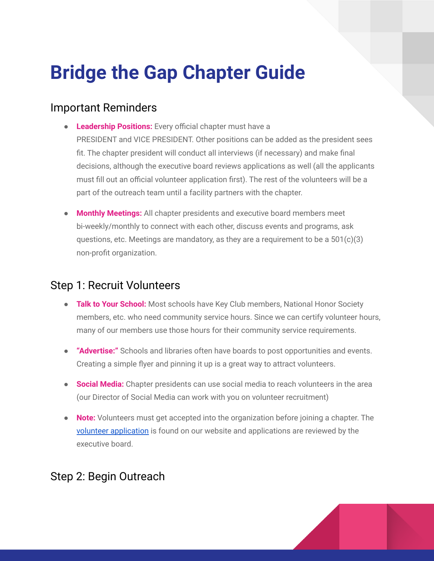# **Bridge the Gap Chapter Guide**

#### Important Reminders

- **Leadership Positions:** Every official chapter must have a PRESIDENT and VICE PRESIDENT. Other positions can be added as the president sees fit. The chapter president will conduct all interviews (if necessary) and make final decisions, although the executive board reviews applications as well (all the applicants must fill out an official volunteer application first). The rest of the volunteers will be a part of the outreach team until a facility partners with the chapter.
- **Monthly Meetings:** All chapter presidents and executive board members meet bi-weekly/monthly to connect with each other, discuss events and programs, ask questions, etc. Meetings are mandatory, as they are a requirement to be a  $501(c)(3)$ non-profit organization.

### Step 1: Recruit Volunteers

- **Talk to Your School:** Most schools have Key Club members, National Honor Society members, etc. who need community service hours. Since we can certify volunteer hours, many of our members use those hours for their community service requirements.
- **"Advertise:"** Schools and libraries often have boards to post opportunities and events. Creating a simple flyer and pinning it up is a great way to attract volunteers.
- **Social Media:** Chapter presidents can use social media to reach volunteers in the area (our Director of Social Media can work with you on volunteer recruitment)
- **Note:** Volunteers must get accepted into the organization before joining a chapter. The volunteer [application](https://forms.gle/JyzRQiz5Bh6zybdQA) is found on our website and applications are reviewed by the executive board.

## Step 2: Begin Outreach